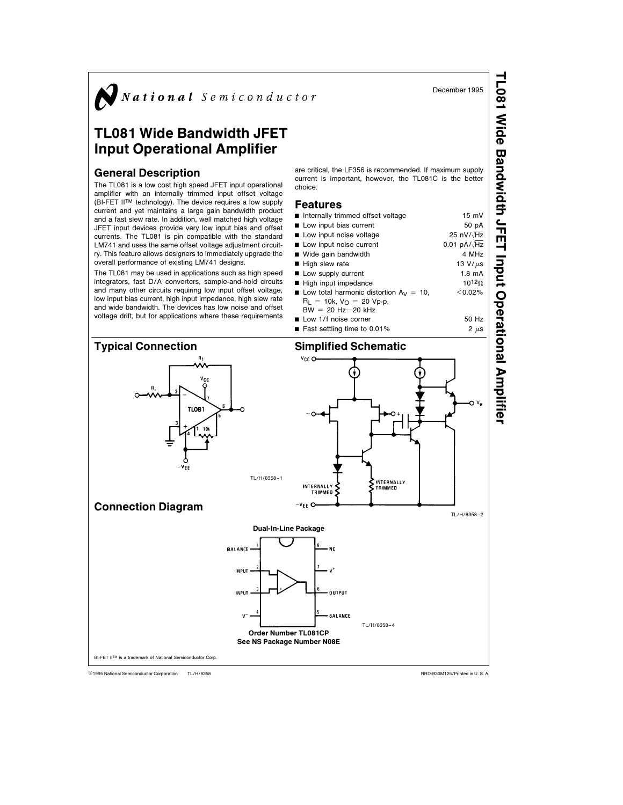$\bigotimes$  National Semiconductor

# TL081 Wide Bandwidth JFET Input Operational Amplifier

#### General Description

The TL081 is a low cost high speed JFET input operational amplifier with an internally trimmed input offset voltage (BI-FET IITM technology). The device requires a low supply current and yet maintains a large gain bandwidth product and a fast slew rate. In addition, well matched high voltage JFET input devices provide very low input bias and offset currents. The TL081 is pin compatible with the standard LM741 and uses the same offset voltage adjustment circuitry. This feature allows designers to immediately upgrade the overall performance of existing LM741 designs.

The TL081 may be used in applications such as high speed integrators, fast D/A converters, sample-and-hold circuits and many other circuits requiring low input offset voltage, low input bias current, high input impedance, high slew rate and wide bandwidth. The devices has low noise and offset voltage drift, but for applications where these requirements are critical, the LF356 is recommended. If maximum supply current is important, however, the TL081C is the better choice.

#### Features

| Internally trimmed offset voltage                 | 15 mV                     |  |  |  |
|---------------------------------------------------|---------------------------|--|--|--|
| Low input bias current                            | 50 pA                     |  |  |  |
| Low input noise voltage                           | 25 nV/ $\sqrt{Hz}$        |  |  |  |
| Low input noise current                           | $0.01$ pA/ $\sqrt{Hz}$    |  |  |  |
| ■ Wide gain bandwidth                             | 4 MHz                     |  |  |  |
| High slew rate                                    | 13 $V/\mu$ s              |  |  |  |
| Low supply current                                | $1.8 \text{ mA}$          |  |  |  |
| High input impedance                              | 10 <sup>12</sup> $\Omega$ |  |  |  |
| <b>Low total harmonic distortion A</b> $V = 10$ , | < 0.02%                   |  |  |  |
| $R_1 = 10k$ , $V_{\Omega} = 20 Vp-p$ ,            |                           |  |  |  |
| $BW = 20 Hz - 20 kHz$                             |                           |  |  |  |
| Low 1/f noise corner                              | 50 Hz                     |  |  |  |
| ■ Fast settling time to 0.01%                     | $2 \mu s$                 |  |  |  |
| <b>Simplified Schematic</b>                       |                           |  |  |  |
| V <sub>CC</sub> O                                 |                           |  |  |  |
|                                                   |                           |  |  |  |



TL081 Wide Bandwidth JFET Input OperationalAmplifier

December 1995

TL/H/8358 C1995 National Semiconductor Corporation TL/H/8358 National Semiconductor Corporation RRD-B30M125/Printed in U. S. A.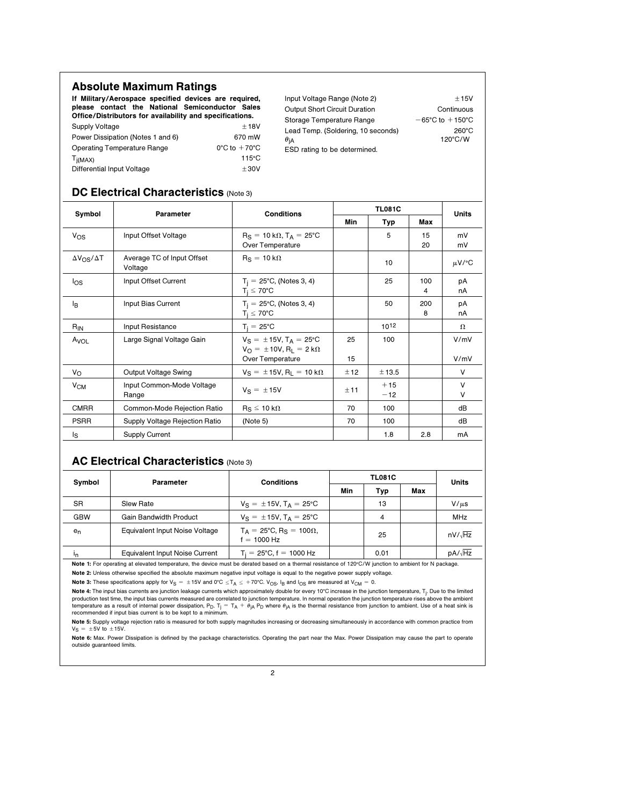### Absolute Maximum Ratings

If Military/Aerospace specified devices are required, please contact the National Semiconductor Sales Office/Distributors for availability and specifications.

| Supply Voltage                    | ±18V                             |
|-----------------------------------|----------------------------------|
| Power Dissipation (Notes 1 and 6) | 670 mW                           |
| Operating Temperature Range       | $0^{\circ}$ C to $+70^{\circ}$ C |
| $T_{i(MAX)}$                      | $115^{\circ}$ C                  |
| Differential Input Voltage        | $+30V$                           |

Input Voltage Range (Note 2)  $\pm 15V$ Output Short Circuit Duration **Continuous** Storage Temperature Range  $-65^{\circ}$ C to  $+150^{\circ}$ C Lead Temp. (Soldering, 10 seconds)  $\theta_{\text{iA}}$  260°C<br>
120°C/W ESD rating to be determined.

120°C/W

#### DC Electrical Characteristics (Note 3)

| Symbol                   | Parameter                             | <b>Conditions</b>                                                                               | <b>TL081C</b> |                |          | <b>Units</b> |
|--------------------------|---------------------------------------|-------------------------------------------------------------------------------------------------|---------------|----------------|----------|--------------|
|                          |                                       |                                                                                                 | Min           | Typ            | Max      |              |
| $V_{OS}$                 | Input Offset Voltage                  | $R_S = 10 k\Omega$ , $T_A = 25°C$<br>Over Temperature                                           |               | 5              | 15<br>20 | mV<br>mV     |
| $\Delta V_{OS}/\Delta T$ | Average TC of Input Offset<br>Voltage | $R_S = 10 k\Omega$                                                                              |               | 10             |          | $\mu$ V/°C   |
| los                      | Input Offset Current                  | $T_i = 25$ °C, (Notes 3, 4)<br>$T_i \leq 70^{\circ}C$                                           |               | 25             | 100<br>4 | pA<br>nA     |
| l <sub>B</sub>           | Input Bias Current                    | $T_i = 25^{\circ}$ C, (Notes 3, 4)<br>$T_i \leq 70^{\circ}C$                                    |               | 50             | 200<br>8 | рA<br>nA     |
| $R_{IN}$                 | Input Resistance                      | $T_i = 25^{\circ}C$                                                                             |               | 1012           |          | $\Omega$     |
| A <sub>VOL</sub>         | Large Signal Voltage Gain             | $V_S = \pm 15V$ , $T_A = 25^{\circ}C$<br>$V_{\Omega} = \pm 10V$ , R <sub>1</sub> = 2 k $\Omega$ | 25            | 100            |          | V/mV         |
|                          |                                       | Over Temperature                                                                                | 15            |                |          | V/mV         |
| $V_{\rm O}$              | Output Voltage Swing                  | $V_S = \pm 15V$ , R <sub>1</sub> = 10 kΩ                                                        | ±12           | ± 13.5         |          | $\vee$       |
| $V_{CM}$                 | Input Common-Mode Voltage<br>Range    | $V_S = \pm 15V$                                                                                 | ±11           | $+15$<br>$-12$ |          | $\vee$<br>V  |
| <b>CMRR</b>              | Common-Mode Rejection Ratio           | $R_S \leq 10 k\Omega$                                                                           | 70            | 100            |          | dB           |
| <b>PSRR</b>              | Supply Voltage Rejection Ratio        | (Note 5)                                                                                        | 70            | 100            |          | dB           |
| ls                       | <b>Supply Current</b>                 |                                                                                                 |               | 1.8            | 2.8      | mA           |

## AC Electrical Characteristics (Note 3)

| Symbol     | Parameter                      | <b>Conditions</b>                                                      | <b>TL081C</b> |      |     | Units          |
|------------|--------------------------------|------------------------------------------------------------------------|---------------|------|-----|----------------|
|            |                                |                                                                        | Min           | Typ  | Max |                |
| <b>SR</b>  | Slew Rate                      | $V_S = \pm 15V$ , $T_A = 25^{\circ}C$                                  |               | 13   |     | $V/\mu s$      |
| <b>GBW</b> | <b>Gain Bandwidth Product</b>  | $V_S = \pm 15V$ , $T_A = 25^{\circ}C$                                  |               | 4    |     | <b>MHz</b>     |
| $e_n$      | Equivalent Input Noise Voltage | $T_A = 25^{\circ}C$ , R <sub>S</sub> = 100 $\Omega$ ,<br>$f = 1000$ Hz |               | 25   |     | $nV/\sqrt{Hz}$ |
| Ιn         | Equivalent Input Noise Current | $T_i = 25^{\circ}$ C, f = 1000 Hz                                      |               | 0.01 |     | $pA/\sqrt{Hz}$ |

Note 1: For operating at elevated temperature, the device must be derated based on a thermal resistance of 120°C/W junction to ambient for N package. Note 2: Unless otherwise specified the absolute maximum negative input voltage is equal to the negative power supply voltage.

Note 3: These specifications apply for  $V_S = \pm 15V$  and 0°C  $\leq T_A \leq +70$ °C.  $V_{OS}$ , I<sub>B</sub> and I<sub>OS</sub> are measured at  $V_{CM} = 0$ .

Note 4: The input bias currents are junction leakage currents which approximately double for every 10°C increase in the junction temperature, T<sub>j</sub>. Due to the limited<br>production test time, the input bias currents measured temperature as a result of internal power dissipation, P<sub>D</sub>. T<sub>j</sub> = T<sub>A</sub> +  $\theta_{\mathsf{jA}}$  P<sub>D</sub> where  $\theta_{\mathsf{jA}}$  is the thermal resistance from junction to ambient. Use of a heat sink is<br>recommended if input bias current is

Note 5: Supply voltage rejection ratio is measured for both supply magnitudes increasing or decreasing simultaneously in accordance with common practice from  $V_S = \pm 5V$  to  $\pm 15V$ .

Note 6: Max. Power Dissipation is defined by the package characteristics. Operating the part near the Max. Power Dissipation may cause the part to operate outside guaranteed limits.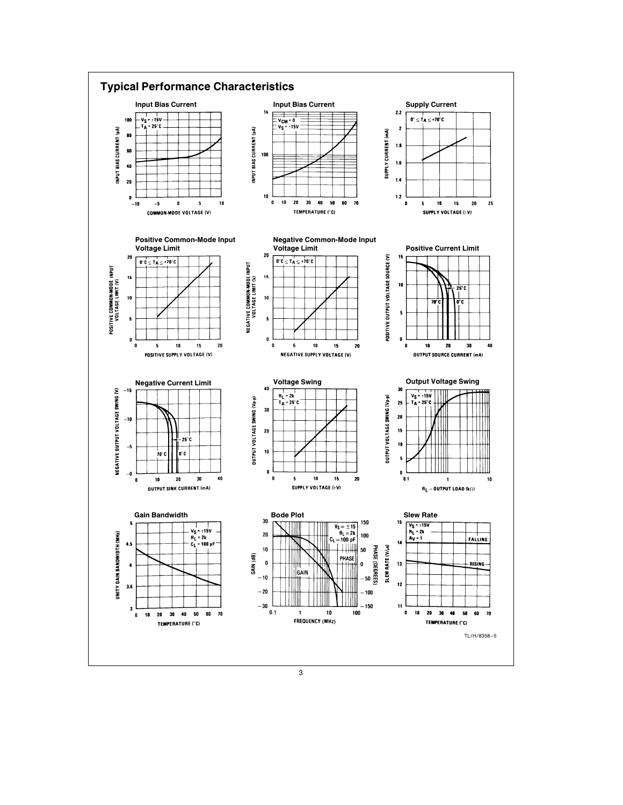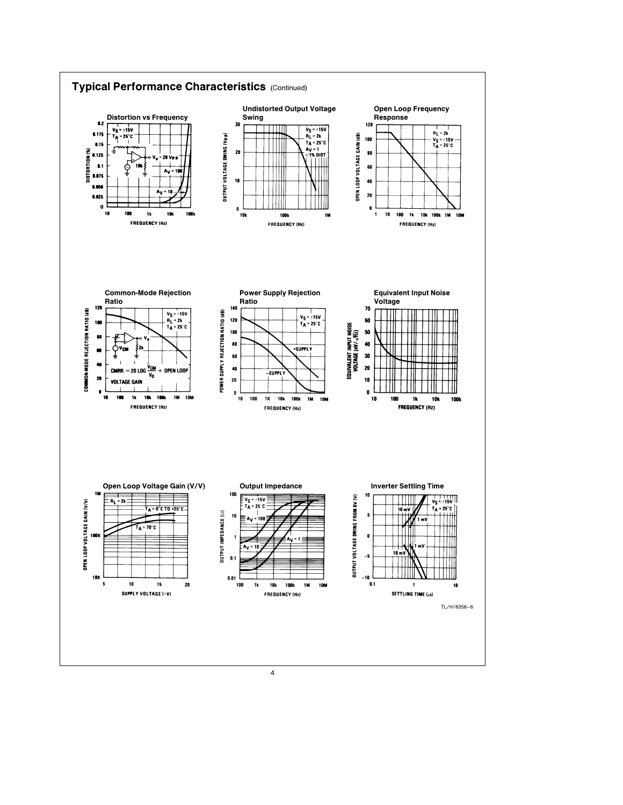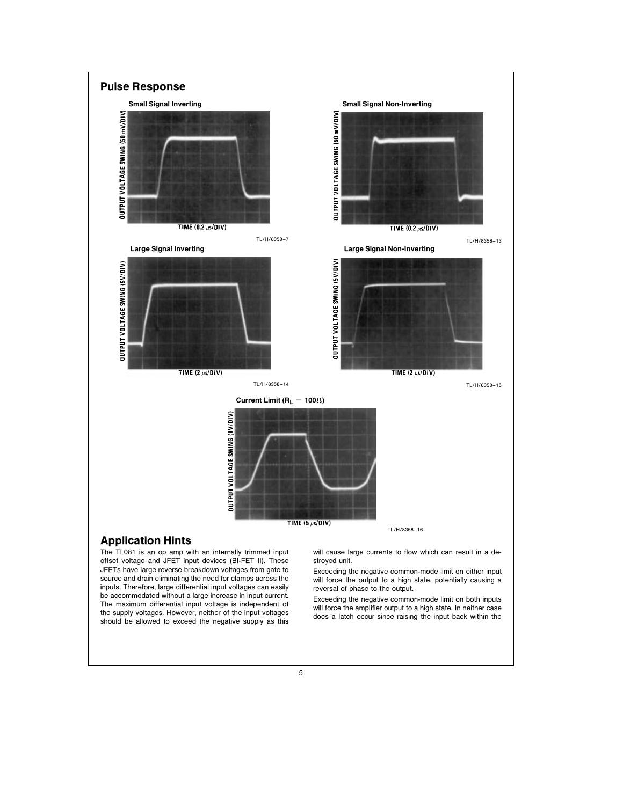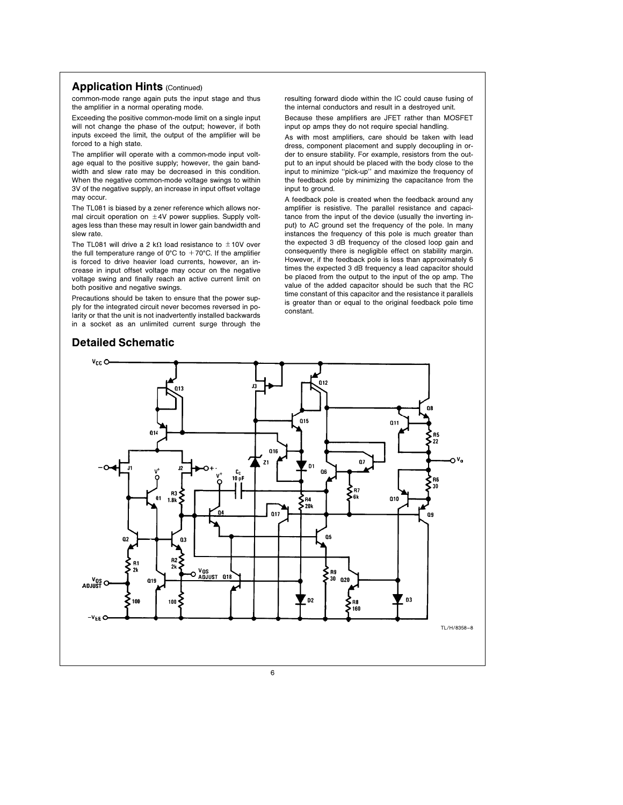#### Application Hints (Continued)

common-mode range again puts the input stage and thus the amplifier in a normal operating mode.

Exceeding the positive common-mode limit on a single input will not change the phase of the output; however, if both inputs exceed the limit, the output of the amplifier will be forced to a high state.

The amplifier will operate with a common-mode input voltage equal to the positive supply; however, the gain bandwidth and slew rate may be decreased in this condition. When the negative common-mode voltage swings to within 3V of the negative supply, an increase in input offset voltage may occur.

The TL081 is biased by a zener reference which allows normal circuit operation on  $\pm$  4V power supplies. Supply voltages less than these may result in lower gain bandwidth and slew rate.

The TL081 will drive a 2 k $\Omega$  load resistance to  $\pm$ 10V over the full temperature range of  $0^{\circ}$ C to  $+70^{\circ}$ C. If the amplifier is forced to drive heavier load currents, however, an increase in input offset voltage may occur on the negative voltage swing and finally reach an active current limit on both positive and negative swings.

Precautions should be taken to ensure that the power supply for the integrated circuit never becomes reversed in polarity or that the unit is not inadvertently installed backwards in a socket as an unlimited current surge through the

#### Detailed Schematic

resulting forward diode within the IC could cause fusing of the internal conductors and result in a destroyed unit.

Because these amplifiers are JFET rather than MOSFET input op amps they do not require special handling.

As with most amplifiers, care should be taken with lead dress, component placement and supply decoupling in order to ensure stability. For example, resistors from the output to an input should be placed with the body close to the input to minimize ''pick-up'' and maximize the frequency of the feedback pole by minimizing the capacitance from the input to ground.

A feedback pole is created when the feedback around any amplifier is resistive. The parallel resistance and capacitance from the input of the device (usually the inverting input) to AC ground set the frequency of the pole. In many instances the frequency of this pole is much greater than the expected 3 dB frequency of the closed loop gain and consequently there is negligible effect on stability margin. However, if the feedback pole is less than approximately 6 times the expected 3 dB frequency a lead capacitor should be placed from the output to the input of the op amp. The value of the added capacitor should be such that the RC time constant of this capacitor and the resistance it parallels is greater than or equal to the original feedback pole time constant.

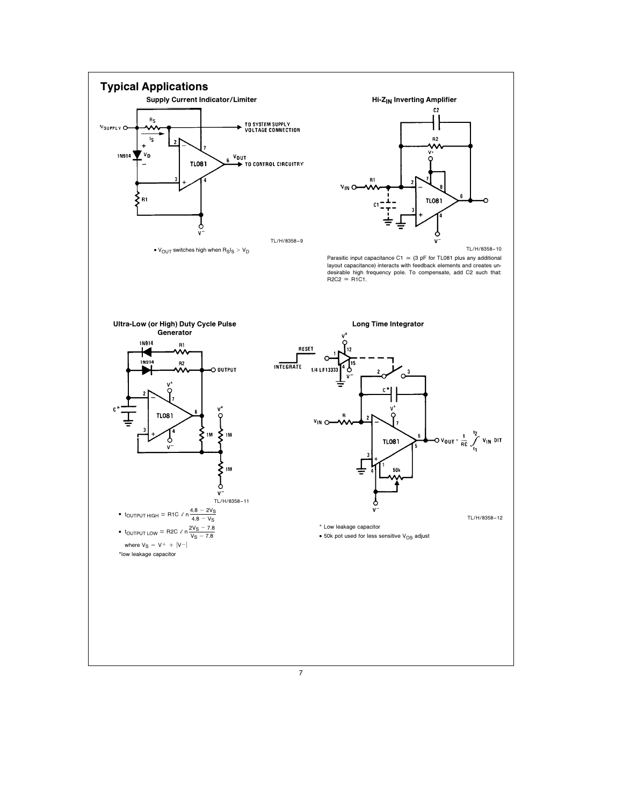